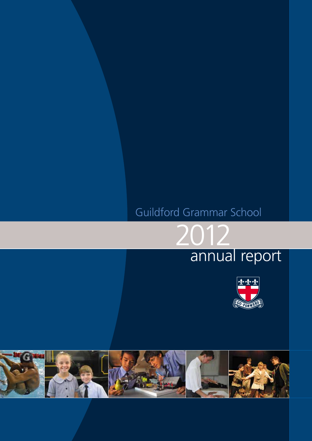# Guildford Grammar School

2012





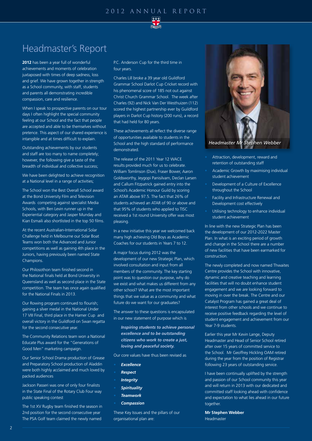

## Headmaster's Report

**2012** has been a year full of wonderful achievements and moments of celebration juxtaposed with times of deep sadness, loss and grief. We have grown together in strength as a School community, with staff, students and parents all demonstrating incredible compassion, care and resilience.

When I speak to prospective parents on our tour days I often highlight the special community feeling at our School and the fact that people are accepted and able to be themselves without pretence. This aspect of our shared experience is intangible and at times difficult to explain.

Outstanding achievements by our students and staff are too many to name completely; however, the following give a taste of the breadth of individual and collective success;

We have been delighted to achieve recognition at a National level in a range of activities;

The School won the Best Overall School award at the Bond University Film and Television Awards competing against specialist Media Schools, with Ben Levin runner up in the Experiential category and Jasper Munday and Kian Esmaili also shortlisted in the top 50 films.

At the recent Australian-International Solar Challenge held in Melbourne our Solar Boat Teams won both the Advanced and Junior competitions as well as gaining 4th place in the Juniors, having previously been named State Champions.

Our Philosothon team finished second in the National finals held at Bond University in Queensland as well as second place in the State competition. The team has once again qualified for the National Finals in 2013.

Our Rowing program continued to flourish; gaining a silver medal in the National Under 17 VIII Final, third place in the Hamer Cup and overall victory in the Guildford on Swan regatta for the second consecutive year.

The Community Relations team won a National Educate Plus award for the "Generations of Good Men" marketing campaign.

Our Senior School Drama production of Grease and Preparatory School production of Aladdin were both highly acclaimed and much loved by packed audiences

Jackson Passeri was one of only four finalists in the State Final of the Rotary Club Four way public speaking contest

The 1st XV Rugby team finished the season in 2nd position for the second consecutive year The PSA Golf team claimed the newly named

P.C. Anderson Cup for the third time in four years.

Charles Lill broke a 39 year old Guildford Grammar School Darlot Cup Cricket record with his phenomenal score of 185 not out against Christ Church Grammar School. The week after Charles (92) and Nick Van Der Westhuizen (112) scored the highest partnership ever by Guildford players in Darlot Cup history (200 runs), a record that had held for 80 years.

These achievements all reflect the diverse range of opportunities available to students in the School and the high standard of performance demonstrated.

The release of the 2011 Year 12 WACE results provided much for us to celebrate. William Tomlinson (Dux), Fraser Bower, Aaron Goldsworthy, Jeygopi Panisilvam, Declan Larsen and Callum Fitzpatrick gained entry into the School's Academic Honour Guild by scoring an ATAR above 97.5. The fact that 26% of students achieved an ATAR of 90 or above and that 95% of students who applied to TISC received a 1st round University offer was most pleasing.

In a new initiative this year we welcomed back many high achieving Old Boys as Academic Coaches for our students in Years 7 to 12.

A major focus during 2012 was the development of our new Strategic Plan, which involved consultation and input from all members of the community. The key starting point was to question our purpose, why do we exist and what makes us different from any other school? What are the most important things that we value as a community and what future do we want for our graduates?

The answer to these questions is encapsulated in our new statement of purpose which is

*Inspiring students to achieve personal excellence and to be outstanding citizens who work to create a just, loving and peaceful society.*

Our core values have thus been revised as

- *• Excellence*
- *• Respect*
- *• Integrity*
- *• Spirituality*
- *• Teamwork*
- *• Compassion*

These Key Issues and the pillars of our organisational plan are:



- Attraction, development, reward and retention of outstanding staff
- Academic Growth by maximising individual student achievement
- Development of a Culture of Excellence throughout the School
- Facility and Infrastructure Renewal and Development cost effectively
- Utilising technology to enhance individual student achievement

In line with the new Strategic Plan has been the development of our 2012-2022 Master Plan. In what is an exciting period of growth and change in the School there are a number of new facilities that have been earmarked for construction.

The newly completed and now named Thwaites Centre provides the School with innovative, dynamic and creative teaching and learning facilities that will no doubt enhance student engagement and we are looking forward to moving in over the break. The Centre and our Catalyst Program has gained a great deal of interest from other schools and we continue to receive positive feedback regarding the level of student engagement and achievement from our Year 7-9 students.

Earlier this year Mr Kevin Lange, Deputy Headmaster and Head of Senior School retired after over 15 years of committed service to the School. Mr Geoffrey Hickling OAM retired during the year from the position of Registrar following 23 years of outstanding service.

I have been continually uplifted by the strength and passion of our School community this year and will return in 2013 with our dedicated and committed staff looking ahead with confidence and expectation to what lies ahead in our future together.

**Mr Stephen Webber** Headmaster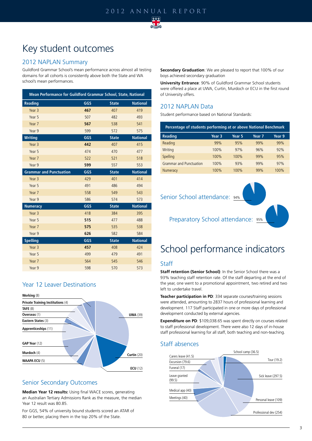

## Key student outcomes

### 2012 NAPLAN Summary

Guildford Grammar School's mean performance across almost all testing domains for all cohorts is consistently above both the State and WA school's mean performances.

| Mean Performance for Guildford Grammar School, State, National |     |              |                 |  |  |  |
|----------------------------------------------------------------|-----|--------------|-----------------|--|--|--|
| <b>Reading</b>                                                 | GGS | <b>State</b> | <b>National</b> |  |  |  |
| Year 3                                                         | 467 | 407          | 419             |  |  |  |
| Year 5                                                         | 507 | 482          | 493             |  |  |  |
| Year 7                                                         | 567 | 538          | 541             |  |  |  |
| Year 9                                                         | 599 | 572          | 575             |  |  |  |
| <b>Writing</b>                                                 | GGS | <b>State</b> | <b>National</b> |  |  |  |
| Year 3                                                         | 442 | 407          | 415             |  |  |  |
| Year 5                                                         | 474 | 470          | 477             |  |  |  |
| Year 7                                                         | 522 | 521          | 518             |  |  |  |
| Year 9                                                         | 599 | 557          | 553             |  |  |  |
| <b>Grammar and Punctuation</b>                                 | GGS | <b>State</b> | <b>National</b> |  |  |  |
| Year <sub>3</sub>                                              | 429 | 401          | 414             |  |  |  |
| Year 5                                                         | 491 | 486          | 494             |  |  |  |
| Year 7                                                         | 558 | 549          | 543             |  |  |  |
| Year 9                                                         | 586 | 574          | 573             |  |  |  |
| <b>Numeracy</b>                                                | GGS | <b>State</b> | <b>National</b> |  |  |  |
| Year <sub>3</sub>                                              | 418 | 384          | 395             |  |  |  |
| Year 5                                                         | 515 | 477          | 488             |  |  |  |
| Year 7                                                         | 575 | 535          | 538             |  |  |  |
| Year 9                                                         | 626 | 582          | 584             |  |  |  |
| <b>Spelling</b>                                                | GGS | <b>State</b> | <b>National</b> |  |  |  |
| Year <sub>3</sub>                                              | 457 | 408          | 424             |  |  |  |
| Year 5                                                         | 499 | 479          | 491             |  |  |  |
| Year 7                                                         | 564 | 545          | 546             |  |  |  |
| Year 9                                                         | 598 | 570          | 573             |  |  |  |

### Year 12 Leaver Destinations



### Senior Secondary Outcomes

**Median Year 12 results:** Using final WACE scores, generating an Australian Tertiary Admissions Rank as the measure, the median Year 12 result was 80.85.

For GGS, 54% of university bound students scored an ATAR of 80 or better, placing them in the top 20% of the State.

**Secondary Graduation**: We are pleased to report that 100% of our boys achieved secondary graduation

**University Entrance**: 90% of Guildford Grammar School students were offered a place at UWA, Curtin, Murdoch or ECU in the first round of University offers.

### 2012 NAPLAN Data

Student performance based on National Standards:

| Percentage of students performing at or above National Benchmark |                   |        |        |        |  |  |
|------------------------------------------------------------------|-------------------|--------|--------|--------|--|--|
| <b>Reading</b>                                                   | Year <sub>3</sub> | Year 5 | Year 7 | Year 9 |  |  |
| Reading                                                          | 99%               | 95%    | 99%    | 99%    |  |  |
| Writing                                                          | 100%              | 97%    | 96%    | 92%    |  |  |
| Spelling                                                         | 100%              | 100%   | 99%    | 95%    |  |  |
| <b>Grammar and Punctuation</b>                                   | 100%              | 93%    | 99%    | 97%    |  |  |
| Numeracy                                                         | 100%              | 100%   | 99%    | 100%   |  |  |

### Senior School attendance: 94%



Preparatory School attendance: 95%

# School performance indicators

### **Staff**

**Staff retention (Senior School)**: In the Senior School there was a 93% teaching staff retention rate. Of the staff departing at the end of the year, one went to a promotional appointment, two retired and two left to undertake travel.

**Teacher participation in PD**: 334 separate courses/training sessions were attended, amounting to 2837 hours of professional learning and development. 117 Staff participated in one or more days of professional development conducted by external agencies.

**Expenditure on PD**: \$109,038.65 was spent directly on courses related to staff professional development. There were also 12 days of in-house staff professional learning for all staff, both teaching and non-teaching.

### Staff absences